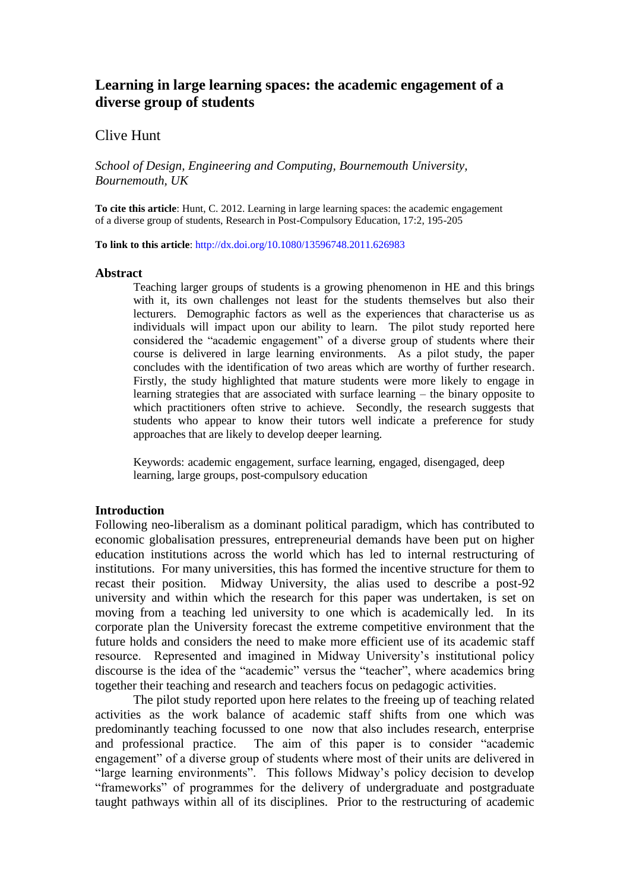# **Learning in large learning spaces: the academic engagement of a diverse group of students**

## Clive Hunt

*School of Design, Engineering and Computing, Bournemouth University, Bournemouth, UK*

**To cite this article**: Hunt, C. 2012. Learning in large learning spaces: the academic engagement of a diverse group of students, Research in Post-Compulsory Education, 17:2, 195-205

**To link to this article**: http://dx.doi.org/10.1080/13596748.2011.626983

#### **Abstract**

Teaching larger groups of students is a growing phenomenon in HE and this brings with it, its own challenges not least for the students themselves but also their lecturers. Demographic factors as well as the experiences that characterise us as individuals will impact upon our ability to learn. The pilot study reported here considered the "academic engagement" of a diverse group of students where their course is delivered in large learning environments. As a pilot study, the paper concludes with the identification of two areas which are worthy of further research. Firstly, the study highlighted that mature students were more likely to engage in learning strategies that are associated with surface learning – the binary opposite to which practitioners often strive to achieve. Secondly, the research suggests that students who appear to know their tutors well indicate a preference for study approaches that are likely to develop deeper learning.

Keywords: academic engagement, surface learning, engaged, disengaged, deep learning, large groups, post-compulsory education

#### **Introduction**

Following neo-liberalism as a dominant political paradigm, which has contributed to economic globalisation pressures, entrepreneurial demands have been put on higher education institutions across the world which has led to internal restructuring of institutions. For many universities, this has formed the incentive structure for them to recast their position. Midway University, the alias used to describe a post-92 university and within which the research for this paper was undertaken, is set on moving from a teaching led university to one which is academically led. In its corporate plan the University forecast the extreme competitive environment that the future holds and considers the need to make more efficient use of its academic staff resource. Represented and imagined in Midway University's institutional policy discourse is the idea of the "academic" versus the "teacher", where academics bring together their teaching and research and teachers focus on pedagogic activities.

The pilot study reported upon here relates to the freeing up of teaching related activities as the work balance of academic staff shifts from one which was predominantly teaching focussed to one now that also includes research, enterprise and professional practice. The aim of this paper is to consider "academic engagement" of a diverse group of students where most of their units are delivered in "large learning environments". This follows Midway's policy decision to develop "frameworks" of programmes for the delivery of undergraduate and postgraduate taught pathways within all of its disciplines. Prior to the restructuring of academic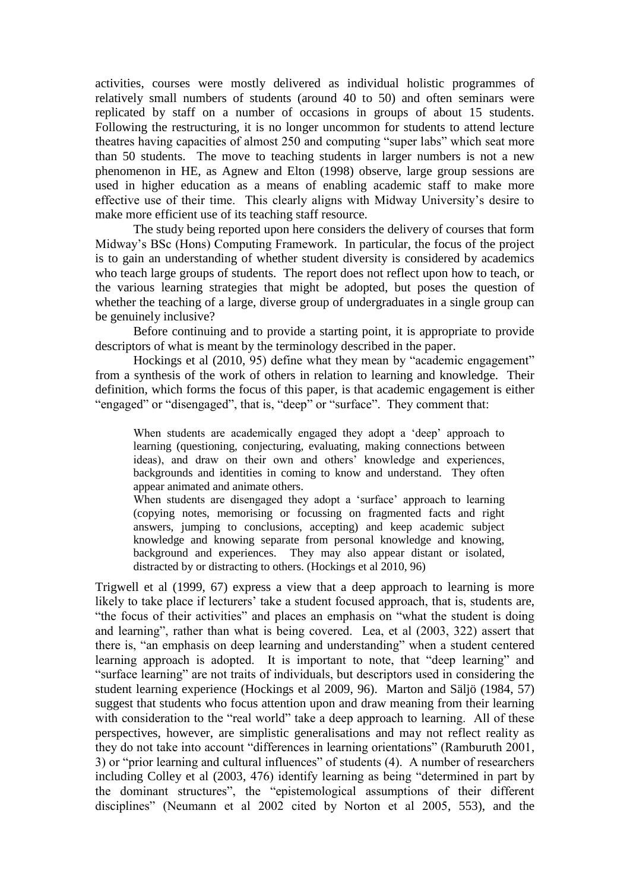activities, courses were mostly delivered as individual holistic programmes of relatively small numbers of students (around 40 to 50) and often seminars were replicated by staff on a number of occasions in groups of about 15 students. Following the restructuring, it is no longer uncommon for students to attend lecture theatres having capacities of almost 250 and computing "super labs" which seat more than 50 students. The move to teaching students in larger numbers is not a new phenomenon in HE, as Agnew and Elton (1998) observe, large group sessions are used in higher education as a means of enabling academic staff to make more effective use of their time. This clearly aligns with Midway University's desire to make more efficient use of its teaching staff resource.

The study being reported upon here considers the delivery of courses that form Midway's BSc (Hons) Computing Framework. In particular, the focus of the project is to gain an understanding of whether student diversity is considered by academics who teach large groups of students. The report does not reflect upon how to teach, or the various learning strategies that might be adopted, but poses the question of whether the teaching of a large, diverse group of undergraduates in a single group can be genuinely inclusive?

Before continuing and to provide a starting point, it is appropriate to provide descriptors of what is meant by the terminology described in the paper.

Hockings et al (2010, 95) define what they mean by "academic engagement" from a synthesis of the work of others in relation to learning and knowledge. Their definition, which forms the focus of this paper, is that academic engagement is either "engaged" or "disengaged", that is, "deep" or "surface". They comment that:

When students are academically engaged they adopt a 'deep' approach to learning (questioning, conjecturing, evaluating, making connections between ideas), and draw on their own and others' knowledge and experiences, backgrounds and identities in coming to know and understand. They often appear animated and animate others.

When students are disengaged they adopt a 'surface' approach to learning (copying notes, memorising or focussing on fragmented facts and right answers, jumping to conclusions, accepting) and keep academic subject knowledge and knowing separate from personal knowledge and knowing, background and experiences. They may also appear distant or isolated, distracted by or distracting to others. (Hockings et al 2010, 96)

Trigwell et al (1999, 67) express a view that a deep approach to learning is more likely to take place if lecturers' take a student focused approach, that is, students are, "the focus of their activities" and places an emphasis on "what the student is doing and learning", rather than what is being covered. Lea, et al (2003, 322) assert that there is, "an emphasis on deep learning and understanding" when a student centered learning approach is adopted. It is important to note, that "deep learning" and "surface learning" are not traits of individuals, but descriptors used in considering the student learning experience (Hockings et al 2009, 96). Marton and Säljö (1984, 57) suggest that students who focus attention upon and draw meaning from their learning with consideration to the "real world" take a deep approach to learning. All of these perspectives, however, are simplistic generalisations and may not reflect reality as they do not take into account "differences in learning orientations" (Ramburuth 2001, 3) or "prior learning and cultural influences" of students (4). A number of researchers including Colley et al (2003, 476) identify learning as being "determined in part by the dominant structures", the "epistemological assumptions of their different disciplines" (Neumann et al 2002 cited by Norton et al 2005, 553), and the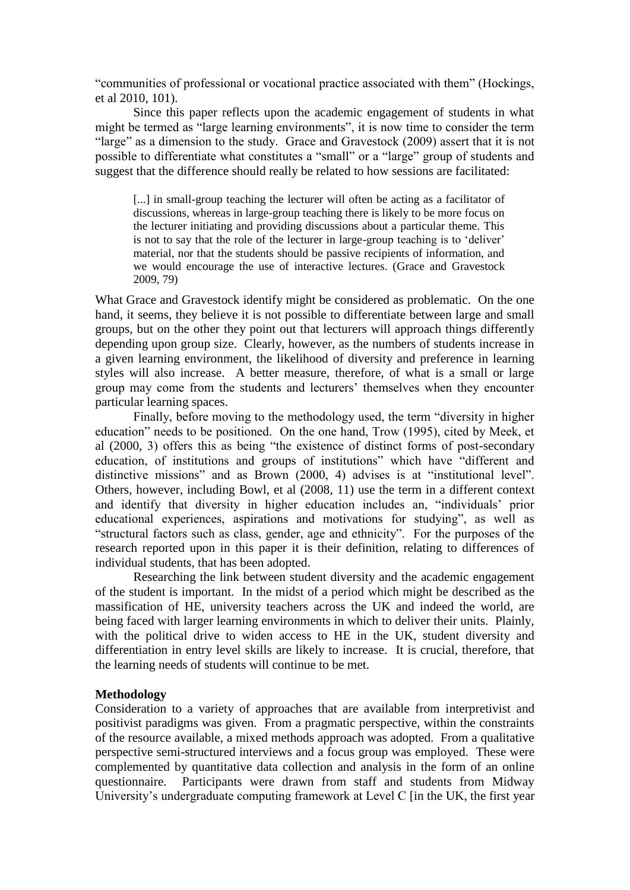"communities of professional or vocational practice associated with them" (Hockings, et al 2010, 101).

Since this paper reflects upon the academic engagement of students in what might be termed as "large learning environments", it is now time to consider the term "large" as a dimension to the study. Grace and Gravestock (2009) assert that it is not possible to differentiate what constitutes a "small" or a "large" group of students and suggest that the difference should really be related to how sessions are facilitated:

[...] in small-group teaching the lecturer will often be acting as a facilitator of discussions, whereas in large-group teaching there is likely to be more focus on the lecturer initiating and providing discussions about a particular theme. This is not to say that the role of the lecturer in large-group teaching is to 'deliver' material, nor that the students should be passive recipients of information, and we would encourage the use of interactive lectures. (Grace and Gravestock 2009, 79)

What Grace and Gravestock identify might be considered as problematic. On the one hand, it seems, they believe it is not possible to differentiate between large and small groups, but on the other they point out that lecturers will approach things differently depending upon group size. Clearly, however, as the numbers of students increase in a given learning environment, the likelihood of diversity and preference in learning styles will also increase. A better measure, therefore, of what is a small or large group may come from the students and lecturers' themselves when they encounter particular learning spaces.

Finally, before moving to the methodology used, the term "diversity in higher education" needs to be positioned. On the one hand, Trow (1995), cited by Meek, et al (2000, 3) offers this as being "the existence of distinct forms of post-secondary education, of institutions and groups of institutions" which have "different and distinctive missions" and as Brown (2000, 4) advises is at "institutional level". Others, however, including Bowl, et al (2008, 11) use the term in a different context and identify that diversity in higher education includes an, "individuals' prior educational experiences, aspirations and motivations for studying", as well as "structural factors such as class, gender, age and ethnicity". For the purposes of the research reported upon in this paper it is their definition, relating to differences of individual students, that has been adopted.

Researching the link between student diversity and the academic engagement of the student is important. In the midst of a period which might be described as the massification of HE, university teachers across the UK and indeed the world, are being faced with larger learning environments in which to deliver their units. Plainly, with the political drive to widen access to HE in the UK, student diversity and differentiation in entry level skills are likely to increase. It is crucial, therefore, that the learning needs of students will continue to be met.

#### **Methodology**

Consideration to a variety of approaches that are available from interpretivist and positivist paradigms was given. From a pragmatic perspective, within the constraints of the resource available, a mixed methods approach was adopted. From a qualitative perspective semi-structured interviews and a focus group was employed. These were complemented by quantitative data collection and analysis in the form of an online questionnaire. Participants were drawn from staff and students from Midway University's undergraduate computing framework at Level C [in the UK, the first year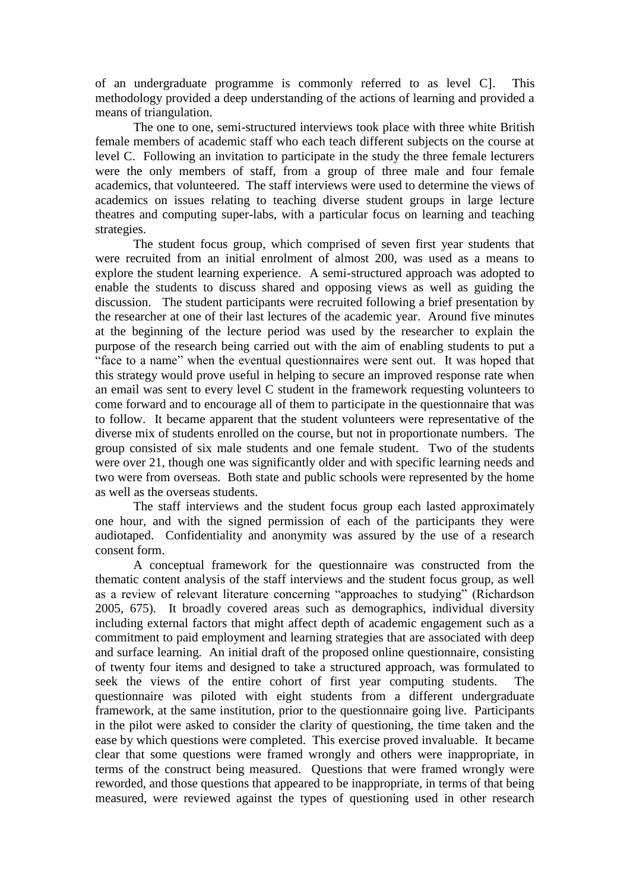of an undergraduate programme is commonly referred to as level C]. This methodology provided a deep understanding of the actions of learning and provided a means of triangulation.

The one to one, semi-structured interviews took place with three white British female members of academic staff who each teach different subjects on the course at level C. Following an invitation to participate in the study the three female lecturers were the only members of staff, from a group of three male and four female academics, that volunteered. The staff interviews were used to determine the views of academics on issues relating to teaching diverse student groups in large lecture theatres and computing super-labs, with a particular focus on learning and teaching strategies.

The student focus group, which comprised of seven first year students that were recruited from an initial enrolment of almost 200, was used as a means to explore the student learning experience. A semi-structured approach was adopted to enable the students to discuss shared and opposing views as well as guiding the discussion. The student participants were recruited following a brief presentation by the researcher at one of their last lectures of the academic year. Around five minutes at the beginning of the lecture period was used by the researcher to explain the purpose of the research being carried out with the aim of enabling students to put a "face to a name" when the eventual questionnaires were sent out. It was hoped that this strategy would prove useful in helping to secure an improved response rate when an email was sent to every level C student in the framework requesting volunteers to come forward and to encourage all of them to participate in the questionnaire that was to follow. It became apparent that the student volunteers were representative of the diverse mix of students enrolled on the course, but not in proportionate numbers. The group consisted of six male students and one female student. Two of the students were over 21, though one was significantly older and with specific learning needs and two were from overseas. Both state and public schools were represented by the home as well as the overseas students.

The staff interviews and the student focus group each lasted approximately one hour, and with the signed permission of each of the participants they were audiotaped. Confidentiality and anonymity was assured by the use of a research consent form.

A conceptual framework for the questionnaire was constructed from the thematic content analysis of the staff interviews and the student focus group, as well as a review of relevant literature concerning "approaches to studying" (Richardson 2005, 675). It broadly covered areas such as demographics, individual diversity including external factors that might affect depth of academic engagement such as a commitment to paid employment and learning strategies that are associated with deep and surface learning. An initial draft of the proposed online questionnaire, consisting of twenty four items and designed to take a structured approach, was formulated to seek the views of the entire cohort of first year computing students. The questionnaire was piloted with eight students from a different undergraduate framework, at the same institution, prior to the questionnaire going live. Participants in the pilot were asked to consider the clarity of questioning, the time taken and the ease by which questions were completed. This exercise proved invaluable. It became clear that some questions were framed wrongly and others were inappropriate, in terms of the construct being measured. Questions that were framed wrongly were reworded, and those questions that appeared to be inappropriate, in terms of that being measured, were reviewed against the types of questioning used in other research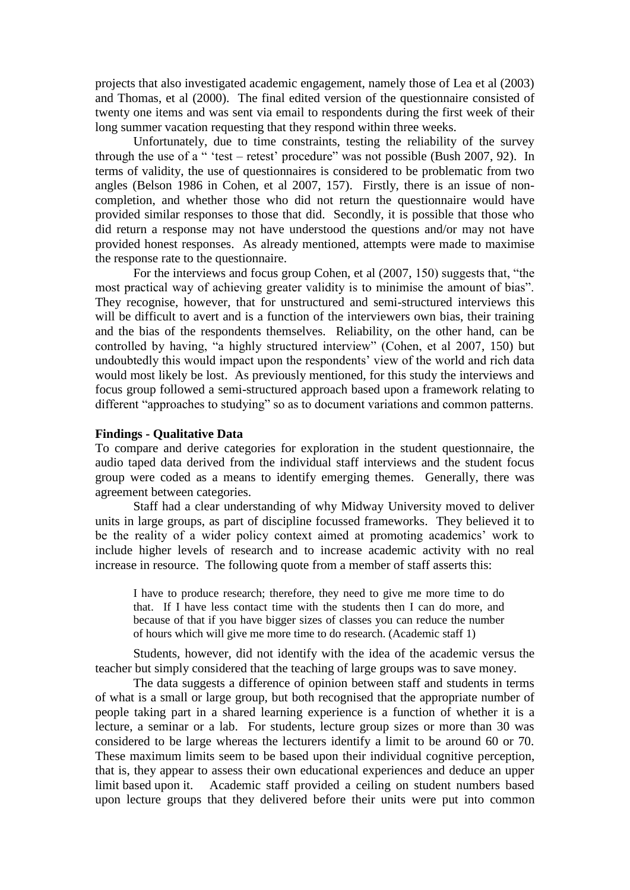projects that also investigated academic engagement, namely those of Lea et al (2003) and Thomas, et al (2000). The final edited version of the questionnaire consisted of twenty one items and was sent via email to respondents during the first week of their long summer vacation requesting that they respond within three weeks.

Unfortunately, due to time constraints, testing the reliability of the survey through the use of a " 'test – retest' procedure" was not possible (Bush 2007, 92). In terms of validity, the use of questionnaires is considered to be problematic from two angles (Belson 1986 in Cohen, et al 2007, 157). Firstly, there is an issue of noncompletion, and whether those who did not return the questionnaire would have provided similar responses to those that did. Secondly, it is possible that those who did return a response may not have understood the questions and/or may not have provided honest responses. As already mentioned, attempts were made to maximise the response rate to the questionnaire.

For the interviews and focus group Cohen, et al (2007, 150) suggests that, "the most practical way of achieving greater validity is to minimise the amount of bias". They recognise, however, that for unstructured and semi-structured interviews this will be difficult to avert and is a function of the interviewers own bias, their training and the bias of the respondents themselves. Reliability, on the other hand, can be controlled by having, "a highly structured interview" (Cohen, et al 2007, 150) but undoubtedly this would impact upon the respondents' view of the world and rich data would most likely be lost. As previously mentioned, for this study the interviews and focus group followed a semi-structured approach based upon a framework relating to different "approaches to studying" so as to document variations and common patterns.

### **Findings - Qualitative Data**

To compare and derive categories for exploration in the student questionnaire, the audio taped data derived from the individual staff interviews and the student focus group were coded as a means to identify emerging themes. Generally, there was agreement between categories.

Staff had a clear understanding of why Midway University moved to deliver units in large groups, as part of discipline focussed frameworks. They believed it to be the reality of a wider policy context aimed at promoting academics' work to include higher levels of research and to increase academic activity with no real increase in resource. The following quote from a member of staff asserts this:

I have to produce research; therefore, they need to give me more time to do that. If I have less contact time with the students then I can do more, and because of that if you have bigger sizes of classes you can reduce the number of hours which will give me more time to do research. (Academic staff 1)

Students, however, did not identify with the idea of the academic versus the teacher but simply considered that the teaching of large groups was to save money.

The data suggests a difference of opinion between staff and students in terms of what is a small or large group, but both recognised that the appropriate number of people taking part in a shared learning experience is a function of whether it is a lecture, a seminar or a lab. For students, lecture group sizes or more than 30 was considered to be large whereas the lecturers identify a limit to be around 60 or 70. These maximum limits seem to be based upon their individual cognitive perception, that is, they appear to assess their own educational experiences and deduce an upper limit based upon it. Academic staff provided a ceiling on student numbers based upon lecture groups that they delivered before their units were put into common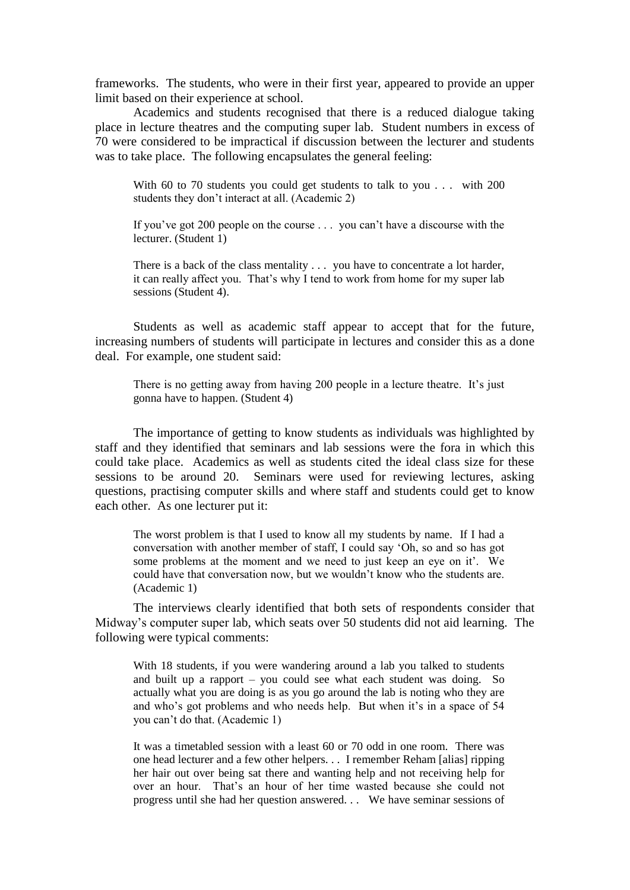frameworks. The students, who were in their first year, appeared to provide an upper limit based on their experience at school.

Academics and students recognised that there is a reduced dialogue taking place in lecture theatres and the computing super lab. Student numbers in excess of 70 were considered to be impractical if discussion between the lecturer and students was to take place. The following encapsulates the general feeling:

With 60 to 70 students you could get students to talk to you . . . with 200 students they don't interact at all. (Academic 2)

If you've got 200 people on the course . . . you can't have a discourse with the lecturer. (Student  $\hat{1}$ )

There is a back of the class mentality . . . you have to concentrate a lot harder, it can really affect you. That's why I tend to work from home for my super lab sessions (Student 4).

Students as well as academic staff appear to accept that for the future, increasing numbers of students will participate in lectures and consider this as a done deal. For example, one student said:

There is no getting away from having 200 people in a lecture theatre. It's just gonna have to happen. (Student 4)

The importance of getting to know students as individuals was highlighted by staff and they identified that seminars and lab sessions were the fora in which this could take place. Academics as well as students cited the ideal class size for these sessions to be around 20. Seminars were used for reviewing lectures, asking questions, practising computer skills and where staff and students could get to know each other. As one lecturer put it:

The worst problem is that I used to know all my students by name. If I had a conversation with another member of staff, I could say 'Oh, so and so has got some problems at the moment and we need to just keep an eye on it'. We could have that conversation now, but we wouldn't know who the students are. (Academic 1)

The interviews clearly identified that both sets of respondents consider that Midway's computer super lab, which seats over 50 students did not aid learning. The following were typical comments:

With 18 students, if you were wandering around a lab you talked to students and built up a rapport – you could see what each student was doing. So actually what you are doing is as you go around the lab is noting who they are and who's got problems and who needs help. But when it's in a space of 54 you can't do that. (Academic 1)

It was a timetabled session with a least 60 or 70 odd in one room. There was one head lecturer and a few other helpers. . . I remember Reham [alias] ripping her hair out over being sat there and wanting help and not receiving help for over an hour. That's an hour of her time wasted because she could not progress until she had her question answered. . . We have seminar sessions of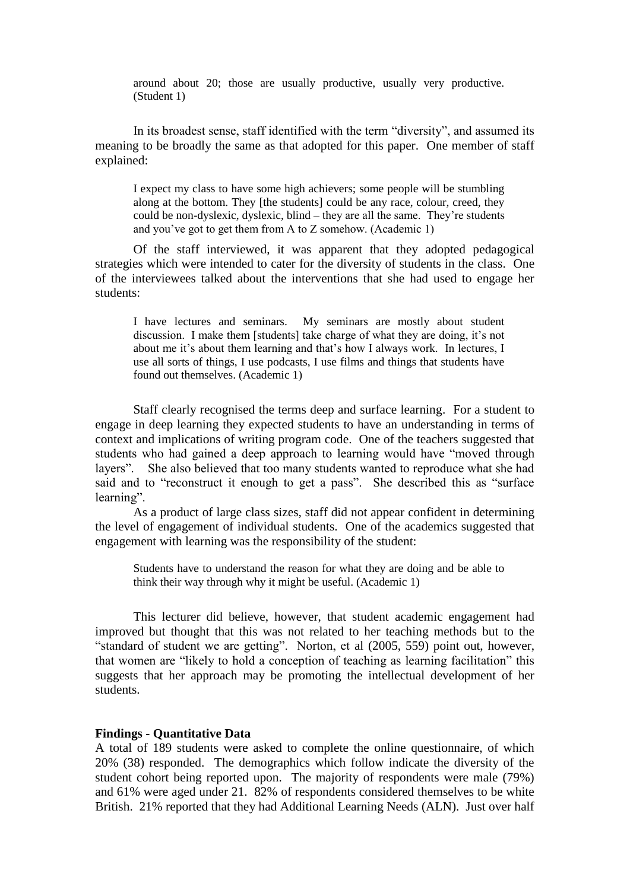around about 20; those are usually productive, usually very productive. (Student 1)

In its broadest sense, staff identified with the term "diversity", and assumed its meaning to be broadly the same as that adopted for this paper. One member of staff explained:

I expect my class to have some high achievers; some people will be stumbling along at the bottom. They [the students] could be any race, colour, creed, they could be non-dyslexic, dyslexic, blind – they are all the same. They're students and you've got to get them from A to Z somehow. (Academic 1)

Of the staff interviewed, it was apparent that they adopted pedagogical strategies which were intended to cater for the diversity of students in the class. One of the interviewees talked about the interventions that she had used to engage her students:

I have lectures and seminars. My seminars are mostly about student discussion. I make them [students] take charge of what they are doing, it's not about me it's about them learning and that's how I always work. In lectures, I use all sorts of things, I use podcasts, I use films and things that students have found out themselves. (Academic 1)

Staff clearly recognised the terms deep and surface learning. For a student to engage in deep learning they expected students to have an understanding in terms of context and implications of writing program code. One of the teachers suggested that students who had gained a deep approach to learning would have "moved through layers". She also believed that too many students wanted to reproduce what she had said and to "reconstruct it enough to get a pass". She described this as "surface learning".

As a product of large class sizes, staff did not appear confident in determining the level of engagement of individual students. One of the academics suggested that engagement with learning was the responsibility of the student:

Students have to understand the reason for what they are doing and be able to think their way through why it might be useful. (Academic 1)

This lecturer did believe, however, that student academic engagement had improved but thought that this was not related to her teaching methods but to the "standard of student we are getting". Norton, et al (2005, 559) point out, however, that women are "likely to hold a conception of teaching as learning facilitation" this suggests that her approach may be promoting the intellectual development of her students.

#### **Findings - Quantitative Data**

A total of 189 students were asked to complete the online questionnaire, of which 20% (38) responded. The demographics which follow indicate the diversity of the student cohort being reported upon. The majority of respondents were male (79%) and 61% were aged under 21. 82% of respondents considered themselves to be white British. 21% reported that they had Additional Learning Needs (ALN). Just over half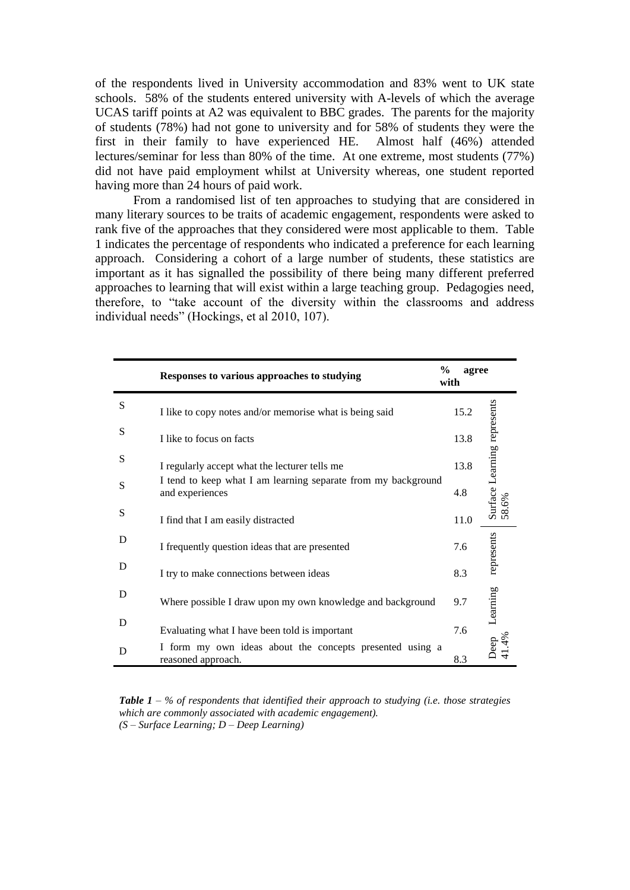of the respondents lived in University accommodation and 83% went to UK state schools. 58% of the students entered university with A-levels of which the average UCAS tariff points at A2 was equivalent to BBC grades. The parents for the majority of students (78%) had not gone to university and for 58% of students they were the first in their family to have experienced HE. Almost half (46%) attended lectures/seminar for less than 80% of the time. At one extreme, most students (77%) did not have paid employment whilst at University whereas, one student reported having more than 24 hours of paid work.

From a randomised list of ten approaches to studying that are considered in many literary sources to be traits of academic engagement, respondents were asked to rank five of the approaches that they considered were most applicable to them. Table 1 indicates the percentage of respondents who indicated a preference for each learning approach. Considering a cohort of a large number of students, these statistics are important as it has signalled the possibility of there being many different preferred approaches to learning that will exist within a large teaching group. Pedagogies need, therefore, to "take account of the diversity within the classrooms and address individual needs" (Hockings, et al 2010, 107).

|   | Responses to various approaches to studying                                      | $\frac{6}{9}$<br>agree<br>with |                                      |
|---|----------------------------------------------------------------------------------|--------------------------------|--------------------------------------|
| S | I like to copy notes and/or memorise what is being said                          | 15.2                           |                                      |
| S | I like to focus on facts                                                         | 13.8                           | Surface Learning represents<br>58.6% |
| S | I regularly accept what the lecturer tells me                                    | 13.8                           |                                      |
| S | I tend to keep what I am learning separate from my background<br>and experiences | 4.8                            |                                      |
| S | I find that I am easily distracted                                               | 11.0                           |                                      |
| D | I frequently question ideas that are presented                                   | 7.6                            | represents                           |
| D | I try to make connections between ideas                                          | 8.3                            |                                      |
| D | Where possible I draw upon my own knowledge and background                       | 9.7                            | eep Learning                         |
| D | Evaluating what I have been told is important                                    | 7.6                            |                                      |
| D | I form my own ideas about the concepts presented using a<br>reasoned approach.   | 8.3                            | $\frac{6}{4}$                        |

*Table 1 – % of respondents that identified their approach to studying (i.e. those strategies which are commonly associated with academic engagement). (S – Surface Learning; D – Deep Learning)*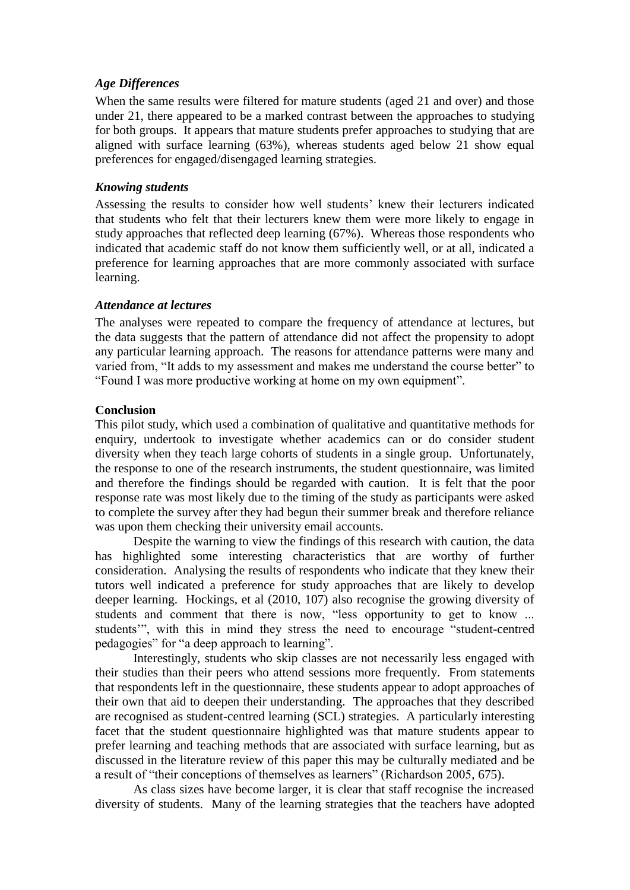## *Age Differences*

When the same results were filtered for mature students (aged 21 and over) and those under 21, there appeared to be a marked contrast between the approaches to studying for both groups. It appears that mature students prefer approaches to studying that are aligned with surface learning (63%), whereas students aged below 21 show equal preferences for engaged/disengaged learning strategies.

## *Knowing students*

Assessing the results to consider how well students' knew their lecturers indicated that students who felt that their lecturers knew them were more likely to engage in study approaches that reflected deep learning (67%). Whereas those respondents who indicated that academic staff do not know them sufficiently well, or at all, indicated a preference for learning approaches that are more commonly associated with surface learning.

## *Attendance at lectures*

The analyses were repeated to compare the frequency of attendance at lectures, but the data suggests that the pattern of attendance did not affect the propensity to adopt any particular learning approach. The reasons for attendance patterns were many and varied from, "It adds to my assessment and makes me understand the course better" to "Found I was more productive working at home on my own equipment".

## **Conclusion**

This pilot study, which used a combination of qualitative and quantitative methods for enquiry, undertook to investigate whether academics can or do consider student diversity when they teach large cohorts of students in a single group. Unfortunately, the response to one of the research instruments, the student questionnaire, was limited and therefore the findings should be regarded with caution. It is felt that the poor response rate was most likely due to the timing of the study as participants were asked to complete the survey after they had begun their summer break and therefore reliance was upon them checking their university email accounts.

Despite the warning to view the findings of this research with caution, the data has highlighted some interesting characteristics that are worthy of further consideration. Analysing the results of respondents who indicate that they knew their tutors well indicated a preference for study approaches that are likely to develop deeper learning. Hockings, et al (2010, 107) also recognise the growing diversity of students and comment that there is now, "less opportunity to get to know ... students'", with this in mind they stress the need to encourage "student-centred pedagogies" for "a deep approach to learning".

Interestingly, students who skip classes are not necessarily less engaged with their studies than their peers who attend sessions more frequently. From statements that respondents left in the questionnaire, these students appear to adopt approaches of their own that aid to deepen their understanding. The approaches that they described are recognised as student-centred learning (SCL) strategies. A particularly interesting facet that the student questionnaire highlighted was that mature students appear to prefer learning and teaching methods that are associated with surface learning, but as discussed in the literature review of this paper this may be culturally mediated and be a result of "their conceptions of themselves as learners" (Richardson 2005, 675).

As class sizes have become larger, it is clear that staff recognise the increased diversity of students. Many of the learning strategies that the teachers have adopted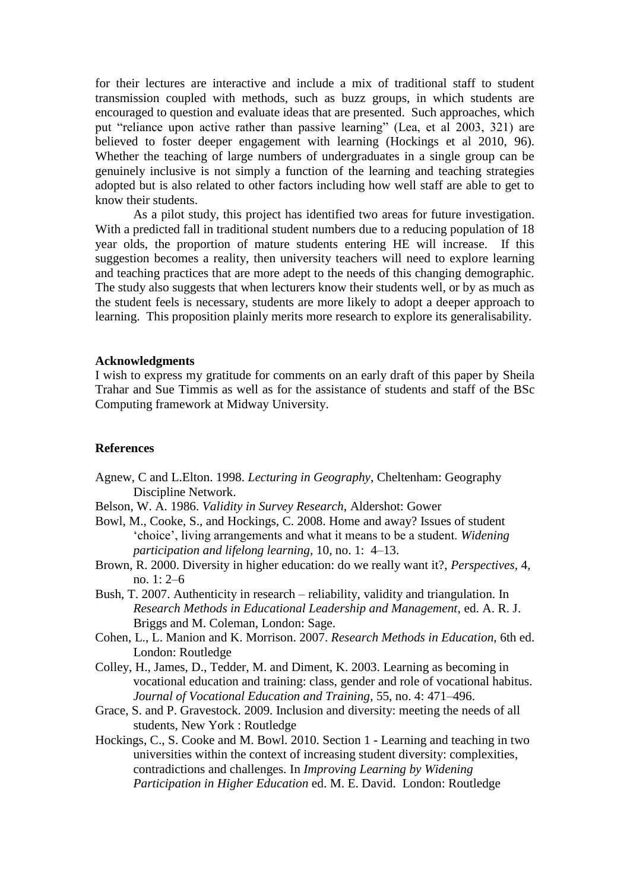for their lectures are interactive and include a mix of traditional staff to student transmission coupled with methods, such as buzz groups, in which students are encouraged to question and evaluate ideas that are presented. Such approaches, which put "reliance upon active rather than passive learning" (Lea, et al 2003, 321) are believed to foster deeper engagement with learning (Hockings et al 2010, 96). Whether the teaching of large numbers of undergraduates in a single group can be genuinely inclusive is not simply a function of the learning and teaching strategies adopted but is also related to other factors including how well staff are able to get to know their students.

As a pilot study, this project has identified two areas for future investigation. With a predicted fall in traditional student numbers due to a reducing population of 18 year olds, the proportion of mature students entering HE will increase. If this suggestion becomes a reality, then university teachers will need to explore learning and teaching practices that are more adept to the needs of this changing demographic. The study also suggests that when lecturers know their students well, or by as much as the student feels is necessary, students are more likely to adopt a deeper approach to learning. This proposition plainly merits more research to explore its generalisability.

#### **Acknowledgments**

I wish to express my gratitude for comments on an early draft of this paper by Sheila Trahar and Sue Timmis as well as for the assistance of students and staff of the BSc Computing framework at Midway University.

#### **References**

- Agnew, C and L.Elton. 1998. *Lecturing in Geography*, Cheltenham: Geography Discipline Network.
- Belson, W. A. 1986. *Validity in Survey Research*, Aldershot: Gower
- Bowl, M., Cooke, S., and Hockings, C. 2008. Home and away? Issues of student 'choice', living arrangements and what it means to be a student. *Widening participation and lifelong learning,* 10, no. 1: 4–13.
- Brown, R. 2000. Diversity in higher education: do we really want it?, *Perspectives*, 4, no. 1: 2–6
- Bush, T. 2007. Authenticity in research reliability, validity and triangulation. In *Research Methods in Educational Leadership and Management*, ed. A. R. J. Briggs and M. Coleman, London: Sage.
- Cohen, L., L. Manion and K. Morrison. 2007. *Research Methods in Education,* 6th ed. London: Routledge
- Colley, H., James, D., Tedder, M. and Diment, K. 2003. Learning as becoming in vocational education and training: class, gender and role of vocational habitus. *Journal of Vocational Education and Training*, 55, no. 4: 471–496.
- Grace, S. and P. Gravestock. 2009. Inclusion and diversity: meeting the needs of all students, New York : Routledge
- Hockings, C., S. Cooke and M. Bowl. 2010. Section 1 Learning and teaching in two universities within the context of increasing student diversity: complexities, contradictions and challenges. In *Improving Learning by Widening Participation in Higher Education* ed. M. E. David. London: Routledge